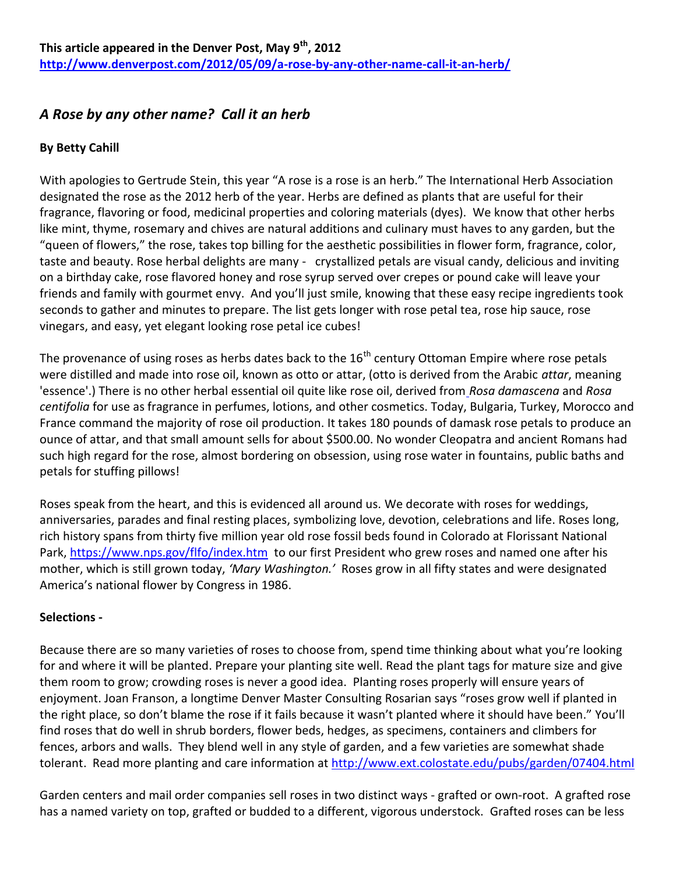# *A Rose by any other name? Call it an herb*

## **By Betty Cahill**

With apologies to Gertrude Stein, this year "A rose is a rose is an herb." The International Herb Association designated the rose as the 2012 herb of the year. Herbs are defined as plants that are useful for their fragrance, flavoring or food, medicinal properties and coloring materials (dyes). We know that other herbs like mint, thyme, rosemary and chives are natural additions and culinary must haves to any garden, but the "queen of flowers," the rose, takes top billing for the aesthetic possibilities in flower form, fragrance, color, taste and beauty. Rose herbal delights are many - crystallized petals are visual candy, delicious and inviting on a birthday cake, rose flavored honey and rose syrup served over crepes or pound cake will leave your friends and family with gourmet envy. And you'll just smile, knowing that these easy recipe ingredients took seconds to gather and minutes to prepare. The list gets longer with rose petal tea, rose hip sauce, rose vinegars, and easy, yet elegant looking rose petal ice cubes!

The provenance of using roses as herbs dates back to the 16<sup>th</sup> century Ottoman Empire where rose petals were distilled and made into rose oil, known as otto or attar, (otto is derived from the Arabic *attar*, meaning 'essence'.) There is no other herbal essential oil quite like rose oil, derived from *Rosa damascena* and *Rosa centifolia* for use as fragrance in perfumes, lotions, and other cosmetics. Today, Bulgaria, Turkey, Morocco and France command the majority of rose oil production. It takes 180 pounds of damask rose petals to produce an ounce of attar, and that small amount sells for about \$500.00. No wonder Cleopatra and ancient Romans had such high regard for the rose, almost bordering on obsession, using rose water in fountains, public baths and petals for stuffing pillows!

Roses speak from the heart, and this is evidenced all around us. We decorate with roses for weddings, anniversaries, parades and final resting places, symbolizing love, devotion, celebrations and life. Roses long, rich history spans from thirty five million year old rose fossil beds found in Colorado at Florissant National Park, <https://www.nps.gov/flfo/index.htm>to our first President who grew roses and named one after his mother, which is still grown today, *'Mary Washington.'* Roses grow in all fifty states and were designated America's national flower by Congress in 1986.

### **Selections -**

Because there are so many varieties of roses to choose from, spend time thinking about what you're looking for and where it will be planted. Prepare your planting site well. Read the plant tags for mature size and give them room to grow; crowding roses is never a good idea. Planting roses properly will ensure years of enjoyment. Joan Franson, a longtime Denver Master Consulting Rosarian says "roses grow well if planted in the right place, so don't blame the rose if it fails because it wasn't planted where it should have been." You'll find roses that do well in shrub borders, flower beds, hedges, as specimens, containers and climbers for fences, arbors and walls. They blend well in any style of garden, and a few varieties are somewhat shade tolerant. Read more planting and care information at<http://www.ext.colostate.edu/pubs/garden/07404.html>

Garden centers and mail order companies sell roses in two distinct ways - grafted or own-root. A grafted rose has a named variety on top, grafted or budded to a different, vigorous understock. Grafted roses can be less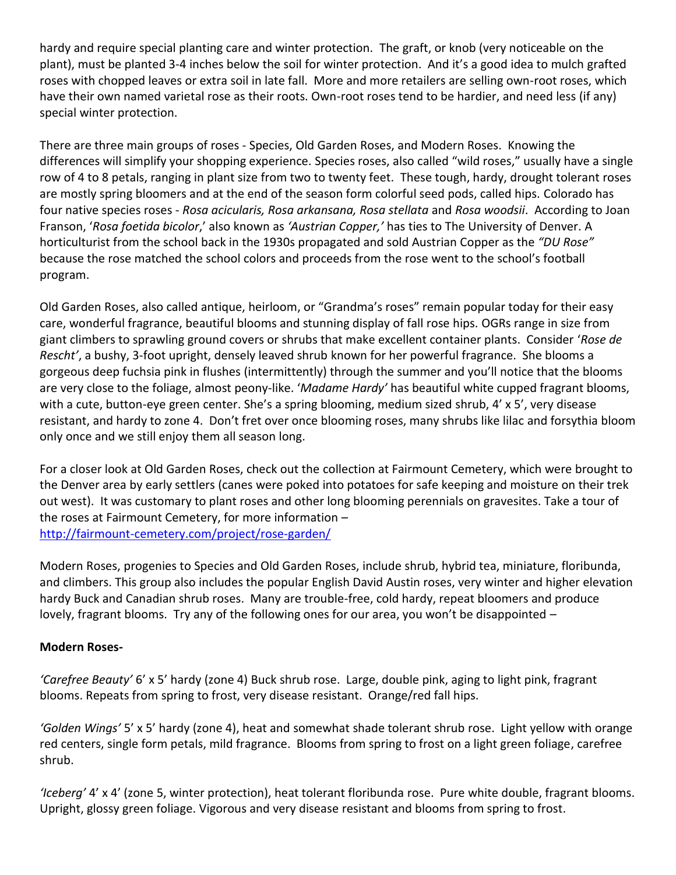hardy and require special planting care and winter protection. The graft, or knob (very noticeable on the plant), must be planted 3-4 inches below the soil for winter protection. And it's a good idea to mulch grafted roses with chopped leaves or extra soil in late fall. More and more retailers are selling own-root roses, which have their own named varietal rose as their roots. Own-root roses tend to be hardier, and need less (if any) special winter protection.

There are three main groups of roses - Species, Old Garden Roses, and Modern Roses. Knowing the differences will simplify your shopping experience. Species roses, also called "wild roses," usually have a single row of 4 to 8 petals, ranging in plant size from two to twenty feet. These tough, hardy, drought tolerant roses are mostly spring bloomers and at the end of the season form colorful seed pods, called hips. Colorado has four native species roses - *Rosa acicularis, Rosa arkansana, Rosa stellata* and *Rosa woodsii*. According to Joan Franson, '*Rosa foetida bicolor*,' also known as *'Austrian Copper,'* has ties to The University of Denver. A horticulturist from the school back in the 1930s propagated and sold Austrian Copper as the *"DU Rose"* because the rose matched the school colors and proceeds from the rose went to the school's football program.

Old Garden Roses, also called antique, heirloom, or "Grandma's roses" remain popular today for their easy care, wonderful fragrance, beautiful blooms and stunning display of fall rose hips. OGRs range in size from giant climbers to sprawling ground covers or shrubs that make excellent container plants. Consider '*Rose de Rescht'*, a bushy, 3-foot upright, densely leaved shrub known for her powerful fragrance. She blooms a gorgeous deep fuchsia pink in flushes (intermittently) through the summer and you'll notice that the blooms are very close to the foliage, almost peony-like. '*Madame Hardy'* has beautiful white cupped fragrant blooms, with a cute, button-eye green center. She's a spring blooming, medium sized shrub, 4' x 5', very disease resistant, and hardy to zone 4. Don't fret over once blooming roses, many shrubs like lilac and forsythia bloom only once and we still enjoy them all season long.

For a closer look at Old Garden Roses, check out the collection at Fairmount Cemetery, which were brought to the Denver area by early settlers (canes were poked into potatoes for safe keeping and moisture on their trek out west). It was customary to plant roses and other long blooming perennials on gravesites. Take a tour of the roses at Fairmount Cemetery, for more information – <http://fairmount-cemetery.com/project/rose-garden/>

Modern Roses, progenies to Species and Old Garden Roses, include shrub, hybrid tea, miniature, floribunda, and climbers. This group also includes the popular English David Austin roses, very winter and higher elevation hardy Buck and Canadian shrub roses. Many are trouble-free, cold hardy, repeat bloomers and produce lovely, fragrant blooms. Try any of the following ones for our area, you won't be disappointed –

### **Modern Roses-**

*'Carefree Beauty'* 6' x 5' hardy (zone 4) Buck shrub rose. Large, double pink, aging to light pink, fragrant blooms. Repeats from spring to frost, very disease resistant. Orange/red fall hips.

*'Golden Wings'* 5' x 5' hardy (zone 4), heat and somewhat shade tolerant shrub rose. Light yellow with orange red centers, single form petals, mild fragrance. Blooms from spring to frost on a light green foliage, carefree shrub.

*'Iceberg'* 4' x 4' (zone 5, winter protection), heat tolerant floribunda rose. Pure white double, fragrant blooms. Upright, glossy green foliage. Vigorous and very disease resistant and blooms from spring to frost.